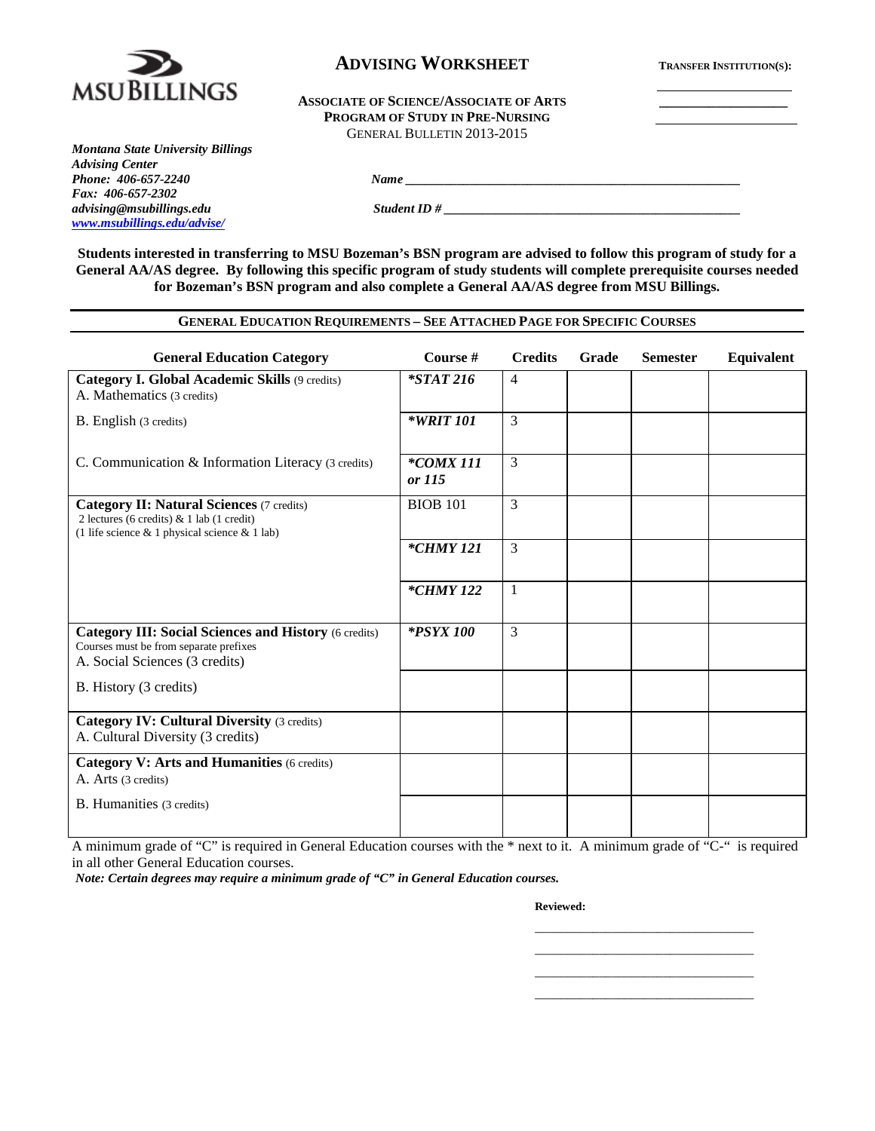

## **ADVISING WORKSHEET TRANSFER INSTITUTION(S):**

#### ASSOCIATE OF SCIENCE/ASSOCIATE OF ARTS **PROGRAM OF STUDY IN PRE-NURSING** GENERAL BULLETIN 2013-2015

*Montana State University Billings Advising Center Fax: 406-657-2302 advising@msubillings.edu Student ID # \_\_\_\_\_\_\_\_\_\_\_\_\_\_\_\_\_\_\_\_\_\_\_\_\_\_\_\_\_\_\_\_\_\_\_\_\_\_\_\_\_\_\_\_\_\_ [www.msubillings.edu/advise/](http://www.msubillings.edu/advise/)*

**Students interested in transferring to MSU Bozeman's BSN program are advised to follow this program of study for a General AA/AS degree. By following this specific program of study students will complete prerequisite courses needed for Bozeman's BSN program and also complete a General AA/AS degree from MSU Billings.**

*Phone: 406-657-2240 Name \_\_\_\_\_\_\_\_\_\_\_\_\_\_\_\_\_\_\_\_\_\_\_\_\_\_\_\_\_\_\_\_\_\_\_\_\_\_\_\_\_\_\_\_\_\_\_\_\_\_\_\_*

| <b>GENERAL EDUCATION REQUIREMENTS - SEE ATTACHED PAGE FOR SPECIFIC COURSES</b>                                                                       |                        |                |       |                 |            |  |
|------------------------------------------------------------------------------------------------------------------------------------------------------|------------------------|----------------|-------|-----------------|------------|--|
| <b>General Education Category</b>                                                                                                                    | Course #               | <b>Credits</b> | Grade | <b>Semester</b> | Equivalent |  |
| Category I. Global Academic Skills (9 credits)<br>A. Mathematics (3 credits)                                                                         | $*STAT216$             | $\overline{4}$ |       |                 |            |  |
| B. English (3 credits)                                                                                                                               | <i>*WRIT 101</i>       | 3              |       |                 |            |  |
| C. Communication & Information Literacy (3 credits)                                                                                                  | $*$ COMX 111<br>or 115 | 3              |       |                 |            |  |
| <b>Category II: Natural Sciences (7 credits)</b><br>2 lectures (6 credits) $& 1$ lab (1 credit)<br>(1 life science $& 1$ physical science $& 1$ lab) | <b>BIOB</b> 101        | 3              |       |                 |            |  |
|                                                                                                                                                      | *CHMY 121              | 3              |       |                 |            |  |
|                                                                                                                                                      | *CHMY 122              | $\mathbf{1}$   |       |                 |            |  |
| <b>Category III: Social Sciences and History (6 credits)</b><br>Courses must be from separate prefixes<br>A. Social Sciences (3 credits)             | *PSYX 100              | 3              |       |                 |            |  |
| B. History (3 credits)                                                                                                                               |                        |                |       |                 |            |  |
| <b>Category IV: Cultural Diversity (3 credits)</b><br>A. Cultural Diversity (3 credits)                                                              |                        |                |       |                 |            |  |
| <b>Category V: Arts and Humanities (6 credits)</b><br>A. Arts (3 credits)                                                                            |                        |                |       |                 |            |  |
| <b>B.</b> Humanities (3 credits)                                                                                                                     |                        |                |       |                 |            |  |

A minimum grade of "C" is required in General Education courses with the \* next to it. A minimum grade of "C-" is required in all other General Education courses.

*Note: Certain degrees may require a minimum grade of "C" in General Education courses.* 

**Reviewed:**

\_\_\_\_\_\_\_\_\_\_\_\_\_\_\_\_\_\_\_\_\_\_\_\_\_\_\_\_\_\_\_\_\_\_ \_\_\_\_\_\_\_\_\_\_\_\_\_\_\_\_\_\_\_\_\_\_\_\_\_\_\_\_\_\_\_\_\_\_ \_\_\_\_\_\_\_\_\_\_\_\_\_\_\_\_\_\_\_\_\_\_\_\_\_\_\_\_\_\_\_\_\_\_ \_\_\_\_\_\_\_\_\_\_\_\_\_\_\_\_\_\_\_\_\_\_\_\_\_\_\_\_\_\_\_\_\_\_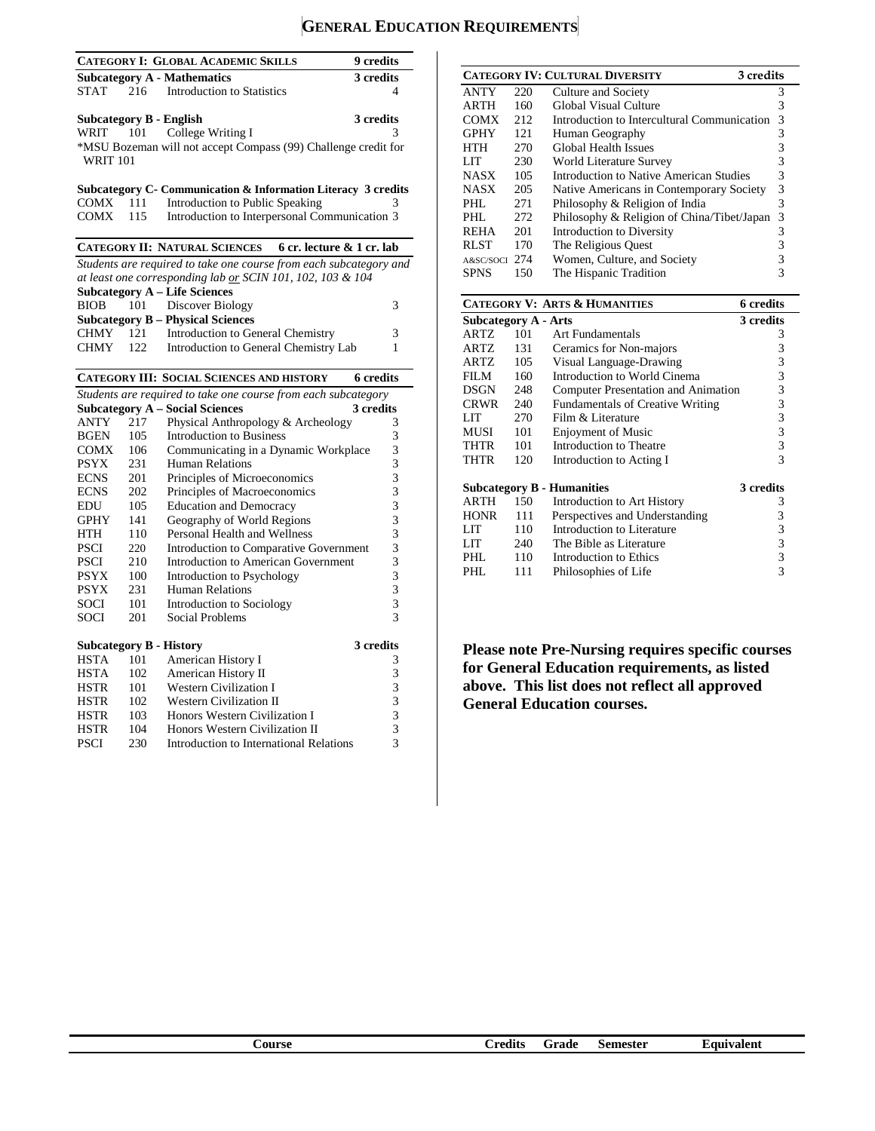# **GENERAL EDUCATION REQUIREMENTS**

|                                |     | <b>CATEGORY I: GLOBAL ACADEMIC SKILLS</b>                          | 9 credits        |
|--------------------------------|-----|--------------------------------------------------------------------|------------------|
|                                |     | <b>Subcategory A - Mathematics</b>                                 | 3 credits        |
| <b>STAT</b>                    | 216 | <b>Introduction to Statistics</b>                                  | 4                |
|                                |     |                                                                    |                  |
| <b>Subcategory B - English</b> |     |                                                                    | 3 credits        |
| WRIT 101                       |     | College Writing I                                                  | 3                |
|                                |     | *MSU Bozeman will not accept Compass (99) Challenge credit for     |                  |
| <b>WRIT 101</b>                |     |                                                                    |                  |
|                                |     |                                                                    |                  |
|                                |     | Subcategory C- Communication & Information Literacy 3 credits      |                  |
| COMX                           | 111 | Introduction to Public Speaking                                    | 3                |
| COMX                           | 115 | Introduction to Interpersonal Communication 3                      |                  |
|                                |     |                                                                    |                  |
|                                |     | <b>CATEGORY II: NATURAL SCIENCES</b><br>6 cr. lecture & 1 cr. lab  |                  |
|                                |     | Students are required to take one course from each subcategory and |                  |
|                                |     | at least one corresponding lab or SCIN 101, 102, 103 & 104         |                  |
|                                |     | <b>Subcategory A - Life Sciences</b>                               |                  |
| <b>BIOB</b>                    | 101 | Discover Biology                                                   | 3                |
|                                |     | <b>Subcategory B - Physical Sciences</b>                           |                  |
| CHMY                           | 121 | Introduction to General Chemistry                                  | 3                |
| <b>CHMY</b>                    | 122 | Introduction to General Chemistry Lab                              | 1                |
|                                |     |                                                                    |                  |
|                                |     | <b>CATEGORY III: SOCIAL SCIENCES AND HISTORY</b>                   | <b>6</b> credits |
|                                |     | Students are required to take one course from each subcategory     |                  |
|                                |     | <b>Subcategory A - Social Sciences</b>                             | 3 credits        |
| <b>ANTY</b>                    | 217 | Physical Anthropology & Archeology                                 | 3                |
| <b>BGEN</b>                    | 105 | <b>Introduction to Business</b>                                    | 3                |
| COMX                           | 106 | Communicating in a Dynamic Workplace                               | 3                |
| <b>PSYX</b>                    | 231 | Human Relations                                                    | 3                |
| <b>ECNS</b>                    | 201 | Principles of Microeconomics                                       | 3                |
| <b>ECNS</b>                    | 202 | Principles of Macroeconomics                                       | 3                |
| EDU                            | 105 | <b>Education and Democracy</b>                                     | 3                |
| <b>GPHY</b>                    | 141 | Geography of World Regions                                         | 3                |
| <b>HTH</b>                     | 110 | Personal Health and Wellness                                       | 3                |
| <b>PSCI</b>                    | 220 | Introduction to Comparative Government                             | 3                |
| <b>PSCI</b>                    | 210 | Introduction to American Government                                | 3                |
| <b>PSYX</b>                    | 100 | <b>Introduction to Psychology</b>                                  | 3                |
| <b>PSYX</b>                    | 231 | Human Relations                                                    | 3                |
| SOCI                           | 101 | Introduction to Sociology                                          | 3                |
| SOCI                           | 201 | Social Problems                                                    | 3                |
|                                |     |                                                                    |                  |
| <b>Subcategory B - History</b> |     |                                                                    | 3 credits        |
| <b>HSTA</b>                    | 101 | American History I                                                 | 3                |
| <b>HSTA</b>                    | 102 | American History II                                                | 3                |
| <b>HSTR</b>                    | 101 | <b>Western Civilization I</b>                                      | 3                |
| <b>HSTR</b>                    | 102 | Western Civilization II                                            | 3                |
| <b>HSTR</b>                    | 103 | Honors Western Civilization I                                      | 3                |
| <b>HSTR</b>                    | 104 | Honors Western Civilization II                                     | 3                |
| <b>PSCI</b>                    | 230 | Introduction to International Relations                            | 3                |

|             |     | <b>CATEGORY IV: CULTURAL DIVERSITY</b>      | 3 credits |
|-------------|-----|---------------------------------------------|-----------|
| <b>ANTY</b> | 220 | Culture and Society                         | 3         |
| <b>ARTH</b> | 160 | Global Visual Culture                       | 3         |
| <b>COMX</b> | 212 | Introduction to Intercultural Communication | 3         |
| <b>GPHY</b> | 121 | Human Geography                             | 3         |
| <b>HTH</b>  | 270 | <b>Global Health Issues</b>                 | 3         |
| LIT         | 230 | World Literature Survey                     | 3         |
| <b>NASX</b> | 105 | Introduction to Native American Studies     | 3         |
| <b>NASX</b> | 205 | Native Americans in Contemporary Society    | 3         |
| PHL         | 271 | Philosophy & Religion of India              | 3         |
| PHL         | 272 | Philosophy & Religion of China/Tibet/Japan  | 3         |
| <b>REHA</b> | 201 | Introduction to Diversity                   | 3         |
| <b>RLST</b> | 170 | The Religious Quest                         | 3         |
| A&SC/SOCI   | 274 | Women, Culture, and Society                 | 3         |
| <b>SPNS</b> | 150 | The Hispanic Tradition                      | 3         |

|                      |     | <b>CATEGORY V: ARTS &amp; HUMANITIES</b> | 6 credits               |
|----------------------|-----|------------------------------------------|-------------------------|
| Subcategory A - Arts |     |                                          | 3 credits               |
| ARTZ                 | 101 | Art Fundamentals                         | 3                       |
| <b>ARTZ</b>          | 131 | Ceramics for Non-majors                  | 3                       |
| ARTZ                 | 105 | Visual Language-Drawing                  | 3                       |
| FILM                 | 160 | Introduction to World Cinema             | $\overline{\mathbf{3}}$ |
| DSGN                 | 248 | Computer Presentation and Animation      | $\overline{3}$          |
| <b>CRWR</b>          | 240 | <b>Fundamentals of Creative Writing</b>  | $\mathfrak{Z}$          |
| LIT                  | 270 | Film & Literature                        | $\overline{\mathbf{3}}$ |
| MUSI                 | 101 | <b>Enjoyment of Music</b>                | 3                       |
| <b>THTR</b>          | 101 | Introduction to Theatre                  | $\overline{\mathbf{3}}$ |
| THTR                 | 120 | Introduction to Acting I                 | 3                       |
|                      |     | <b>Subcategory B - Humanities</b>        | 3 credits               |
| ARTH                 | 150 | Introduction to Art History              | 3                       |
| <b>HONR</b>          | 111 | Perspectives and Understanding           | 3                       |
| LIT                  | 110 | Introduction to Literature               | 3                       |
| LIT                  | 240 | The Bible as Literature                  | 3                       |
| PHL                  | 110 | Introduction to Ethics                   | 3                       |
| PHL                  | 111 | Philosophies of Life                     | 3                       |

**Please note Pre-Nursing requires specific courses for General Education requirements, as listed above. This list does not reflect all approved General Education courses.**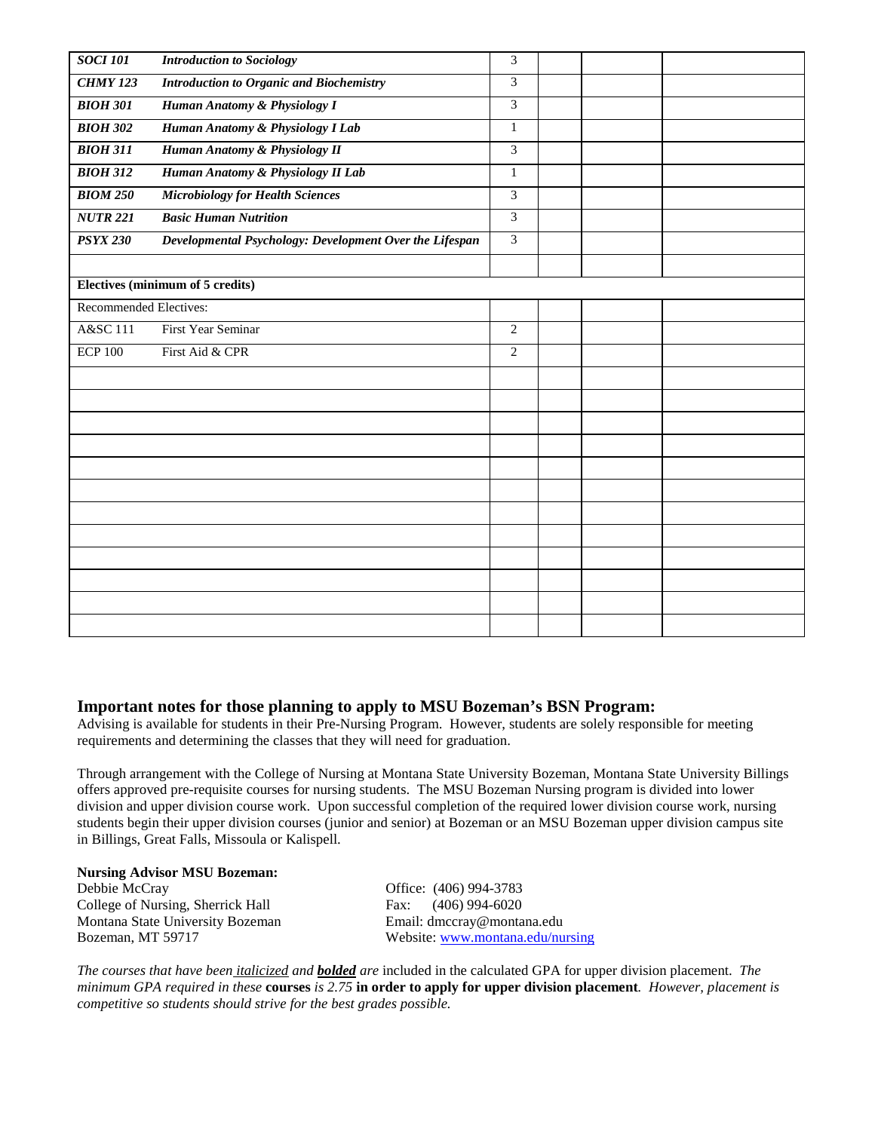| <b>SOCI 101</b>               | <b>Introduction to Sociology</b>                        | 3              |  |  |
|-------------------------------|---------------------------------------------------------|----------------|--|--|
| <b>CHMY 123</b>               | <b>Introduction to Organic and Biochemistry</b>         | $\overline{3}$ |  |  |
| <b>BIOH 301</b>               | Human Anatomy & Physiology I                            | $\mathfrak{Z}$ |  |  |
| <b>BIOH 302</b>               | Human Anatomy & Physiology I Lab                        | $\mathbf{1}$   |  |  |
| <b>BIOH 311</b>               | Human Anatomy & Physiology II                           | $\overline{3}$ |  |  |
| <b>BIOH 312</b>               | Human Anatomy & Physiology II Lab                       | 1              |  |  |
| <b>BIOM 250</b>               | <b>Microbiology for Health Sciences</b>                 | 3              |  |  |
| <b>NUTR 221</b>               | <b>Basic Human Nutrition</b>                            | 3              |  |  |
| <b>PSYX 230</b>               | Developmental Psychology: Development Over the Lifespan | $\overline{3}$ |  |  |
|                               |                                                         |                |  |  |
|                               | <b>Electives (minimum of 5 credits)</b>                 |                |  |  |
| <b>Recommended Electives:</b> |                                                         |                |  |  |
| A&SC 111                      | First Year Seminar                                      | $\mathbf{2}$   |  |  |
| $ECP$ 100                     | First Aid & CPR                                         | $\overline{2}$ |  |  |
|                               |                                                         |                |  |  |
|                               |                                                         |                |  |  |
|                               |                                                         |                |  |  |
|                               |                                                         |                |  |  |
|                               |                                                         |                |  |  |
|                               |                                                         |                |  |  |
|                               |                                                         |                |  |  |
|                               |                                                         |                |  |  |
|                               |                                                         |                |  |  |
|                               |                                                         |                |  |  |
|                               |                                                         |                |  |  |
|                               |                                                         |                |  |  |

## **Important notes for those planning to apply to MSU Bozeman's BSN Program:**

Advising is available for students in their Pre-Nursing Program. However, students are solely responsible for meeting requirements and determining the classes that they will need for graduation.

Through arrangement with the College of Nursing at Montana State University Bozeman, Montana State University Billings offers approved pre-requisite courses for nursing students. The MSU Bozeman Nursing program is divided into lower division and upper division course work. Upon successful completion of the required lower division course work, nursing students begin their upper division courses (junior and senior) at Bozeman or an MSU Bozeman upper division campus site in Billings, Great Falls, Missoula or Kalispell.

## **Nursing Advisor MSU Bozeman:**

Debbie McCray Office: (406) 994-3783<br>College of Nursing, Sherrick Hall Fax: (406) 994-6020 College of Nursing, Sherrick Hall Fax: Montana State University Bozeman Email: dmccray@montana.edu

Bozeman, MT 59717 Website: [www.montana.edu/nursing](http://www.montana.edu/nursing)

*The courses that have been italicized and bolded are* included in the calculated GPA for upper division placement. *The minimum GPA required in these* **courses** *is 2.75* **in order to apply for upper division placement***. However, placement is competitive so students should strive for the best grades possible.*